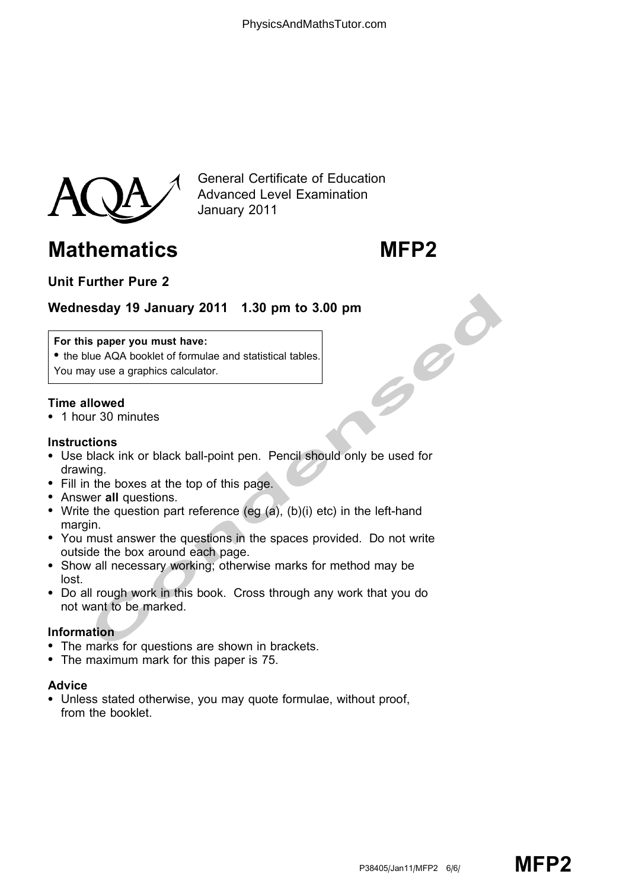

General Certificate of Education Advanced Level Examination January 2011

# Mathematics MFP2

# Unit Further Pure 2

# Wednesday 19 January 2011 1.30 pm to 3.00 pm

#### For this paper you must have:

• the blue AQA booklet of formulae and statistical tables. You may use a graphics calculator.

### Time allowed

\* 1 hour 30 minutes

#### **Instructions**

- Saday 19 January 2011 1.30 pm to 3.00 pm<br>
spaper you must have:<br>
lue AQA booklet of formulae and statistical tables.<br>
you we a graphics calculator.<br>
Illowed<br>
ur 30 minutes<br>
ur 30 minutes<br>
ur 30 minutes<br>
the boxes at the to \* Use black ink or black ball-point pen. Pencil should only be used for drawing.
- Fill in the boxes at the top of this page.
- Answer all questions.
- Write the question part reference (eg  $(a)$ ,  $(b)(i)$  etc) in the left-hand margin.
- \* You must answer the questions in the spaces provided. Do not write outside the box around each page.
- \* Show all necessary working; otherwise marks for method may be lost.
- \* Do all rough work in this book. Cross through any work that you do not want to be marked.

#### Information

- The marks for questions are shown in brackets.
- The maximum mark for this paper is 75.

## Advice

• Unless stated otherwise, you may quote formulae, without proof, from the booklet.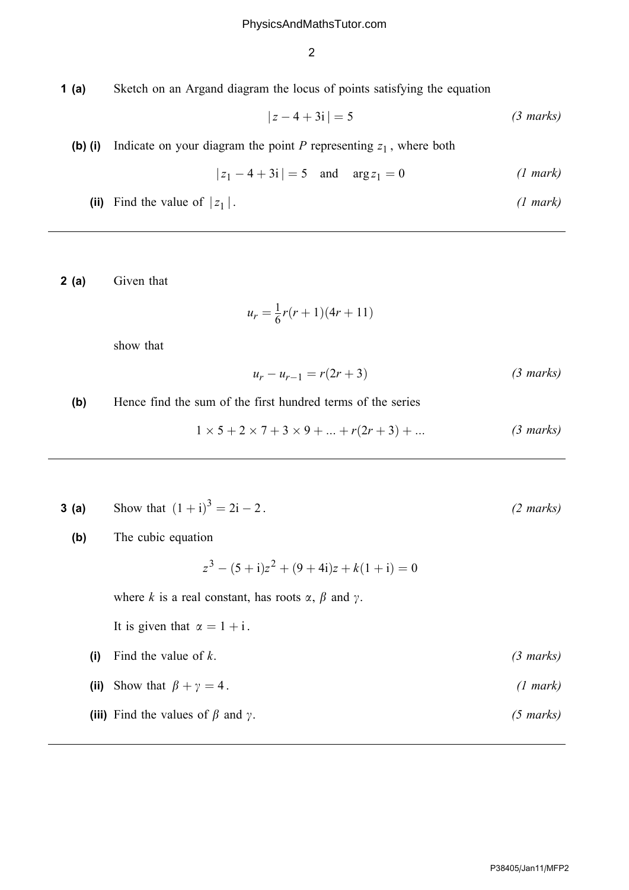2

1 (a) Sketch on an Argand diagram the locus of points satisfying the equation

$$
|z - 4 + 3i| = 5 \t\t(3 marks)
$$

(b) (i) Indicate on your diagram the point P representing  $z_1$ , where both

$$
|z_1 - 4 + 3i| = 5
$$
 and  $\arg z_1 = 0$  (1 mark)

(ii) Find the value of 
$$
|z_1|
$$
. (1 mark)

2 (a) Given that

$$
u_r = \frac{1}{6}r(r+1)(4r+11)
$$

show that

$$
u_r - u_{r-1} = r(2r+3) \tag{3 marks}
$$

(b) Hence find the sum of the first hundred terms of the series

$$
1 \times 5 + 2 \times 7 + 3 \times 9 + \dots + r(2r + 3) + \dots
$$
 (3 marks)

- **3 (a)** Show that  $(1 + i)^3 = 2i -$ 
	- (b) The cubic equation

$$
z3 - (5 + i)z2 + (9 + 4i)z + k(1 + i) = 0
$$

where k is a real constant, has roots  $\alpha$ ,  $\beta$  and  $\gamma$ .

It is given that  $\alpha = 1 + i$ .

- (i) Find the value of  $k$ . (3 marks)
- (ii) Show that  $\beta + \gamma = 4$ . (1 mark)
- (iii) Find the values of  $\beta$  and  $\gamma$ . (5 marks)

 $(2 \text{ marks})$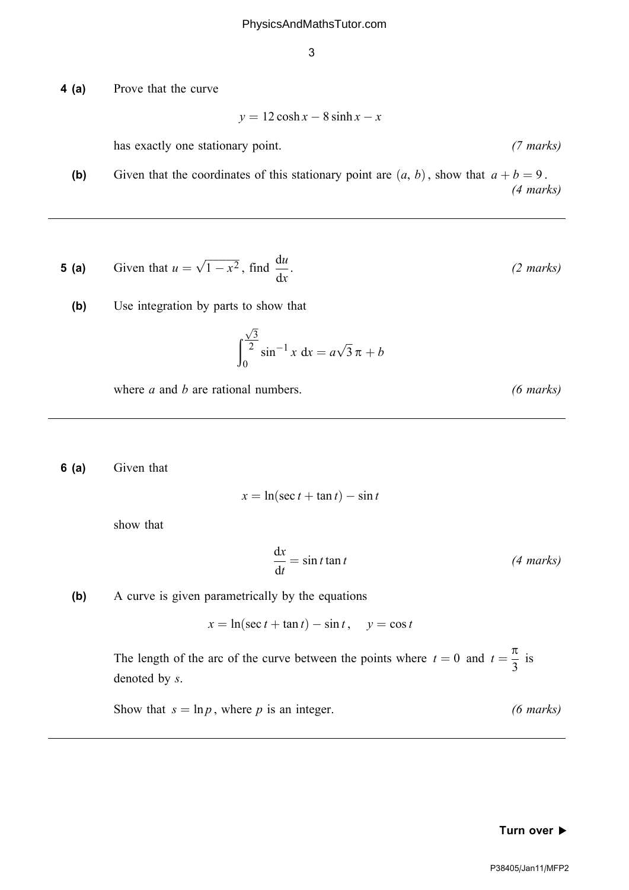3

4 (a) Prove that the curve

 $y = 12 \cosh x - 8 \sinh x - x$ 

has exactly one stationary point. (7 marks)

(b) Given that the coordinates of this stationary point are  $(a, b)$ , show that  $a + b = 9$ . (4 marks)

**5 (a)** Given that 
$$
u = \sqrt{1 - x^2}
$$
, find  $\frac{du}{dx}$ . (2 marks)

(b) Use integration by parts to show that

$$
\int_0^{\frac{\sqrt{3}}{2}} \sin^{-1} x \, dx = a\sqrt{3} \, \pi + b
$$

where  $a$  and  $b$  are rational numbers. (6 *marks*)

6 (a) Given that

$$
x = \ln(\sec t + \tan t) - \sin t
$$

show that

$$
\frac{dx}{dt} = \sin t \tan t \tag{4 marks}
$$

(b) A curve is given parametrically by the equations

 $x = \ln(\sec t + \tan t) - \sin t, \quad y = \cos t$ 

The length of the arc of the curve between the points where  $t = 0$  and  $t = \frac{\pi}{2}$ 3 is denoted by s.

Show that  $s = \ln p$ , where p is an integer. (6 marks)

#### Turn over  $\blacktriangleright$